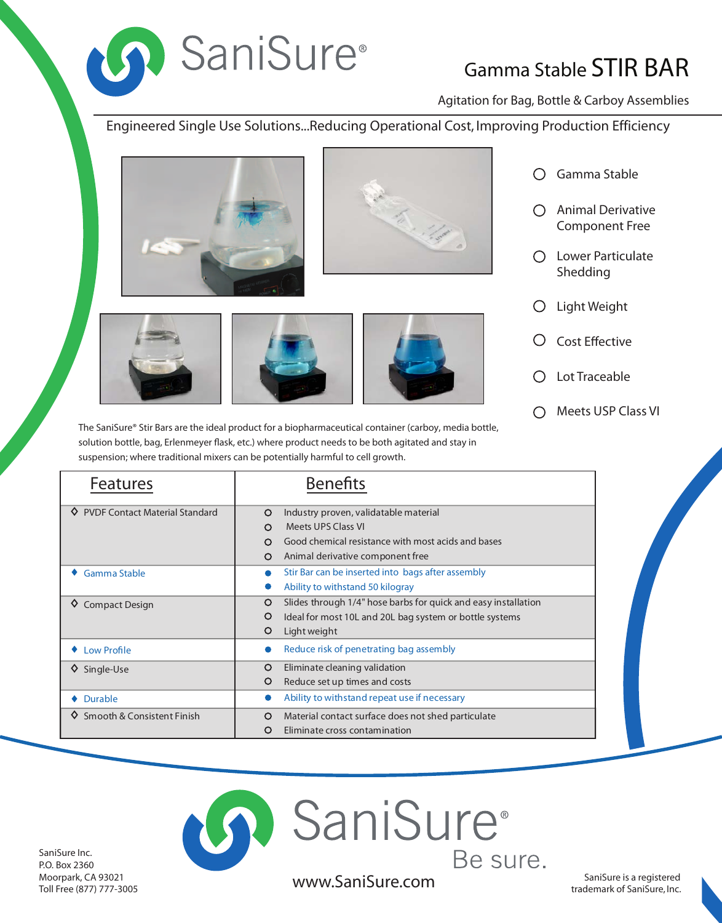

## Gamma Stable STIR BAR

Agitation for Bag, Bottle & Carboy Assemblies

Engineered Single Use Solutions...Reducing Operational Cost, Improving Production Efficiency







The SaniSure® Stir Bars are the ideal product for a biopharmaceutical container (carboy, media bottle, solution bottle, bag, Erlenmeyer flask, etc.) where product needs to be both agitated and stay in suspension; where traditional mixers can be potentially harmful to cell growth.

Gamma Stable  $\bigcirc$ 

- Animal Derivative Component Free
- Lower Particulate Shedding
- Light Weight  $\bigcirc$
- **Cost Effective**  $\left( \right)$
- Lot Traceable
- Meets USP Class VI  $\bigcirc$

| <b>Features</b>                       | <b>Benefits</b>                                                           |
|---------------------------------------|---------------------------------------------------------------------------|
| <b>PVDF Contact Material Standard</b> | Industry proven, validatable material<br>$\circ$                          |
|                                       | Meets UPS Class VI<br>$\circ$                                             |
|                                       | Good chemical resistance with most acids and bases<br>∩                   |
|                                       | Animal derivative component free<br>$\Omega$                              |
| Gamma Stable                          | Stir Bar can be inserted into bags after assembly                         |
|                                       | Ability to withstand 50 kilogray                                          |
| <b>Compact Design</b><br>♦            | Slides through 1/4" hose barbs for quick and easy installation<br>$\circ$ |
|                                       | Ideal for most 10L and 20L bag system or bottle systems<br>O              |
|                                       | O<br>Light weight                                                         |
| <b>Low Profile</b>                    | Reduce risk of penetrating bag assembly                                   |
| Single-Use<br>♦                       | Eliminate cleaning validation<br>$\circ$                                  |
|                                       | O<br>Reduce set up times and costs                                        |
| <b>Durable</b>                        | Ability to withstand repeat use if necessary                              |
| Smooth & Consistent Finish            | Material contact surface does not shed particulate<br>$\circ$             |
|                                       | O<br>Eliminate cross contamination                                        |

SaniSure Inc. P.O. Box 2360 Moorpark, CA 93021 Toll Free (877) 777-3005

SaniSure is a registered www.SaniSure.com saniSure is a registered trademark of SaniSure, Inc.

**D** SaniSure®

Be sure.